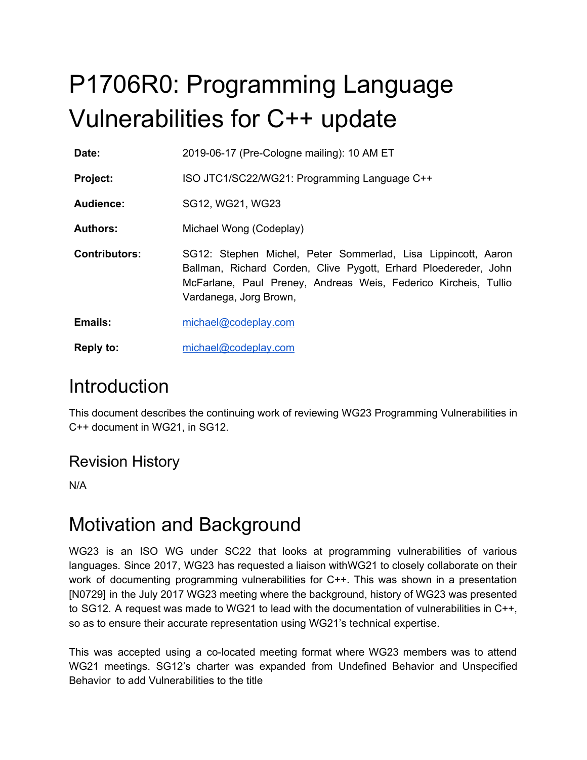# P1706R0: Programming Language Vulnerabilities for C++ update

**Date:** 2019-06-17 (Pre-Cologne mailing): 10 AM ET

Project: ISO JTC1/SC22/WG21: Programming Language C++

**Audience:** SG12, WG21, WG23

**Authors:** Michael Wong (Codeplay)

- **Contributors:** SG12: Stephen Michel, Peter Sommerlad, Lisa Lippincott, Aaron Ballman, Richard Corden, Clive Pygott, Erhard Ploedereder, John McFarlane, Paul Preney, Andreas Weis, Federico Kircheis, Tullio Vardanega, Jorg Brown,
- **Emails:** [michael@codeplay.com](mailto:michael@codeplay.com)
- **Reply to:** [michael@codeplay.com](mailto:michael@codeplay.com)

### **Introduction**

This document describes the continuing work of reviewing WG23 Programming Vulnerabilities in C++ document in WG21, in SG12.

### Revision History

N/A

### Motivation and Background

WG23 is an ISO WG under SC22 that looks at programming vulnerabilities of various languages. Since 2017, WG23 has requested a liaison withWG21 to closely collaborate on their work of documenting programming vulnerabilities for C++. This was shown in a presentation [N0729] in the July 2017 WG23 meeting where the background, history of WG23 was presented to SG12. A request was made to WG21 to lead with the documentation of vulnerabilities in C++, so as to ensure their accurate representation using WG21's technical expertise.

This was accepted using a co-located meeting format where WG23 members was to attend WG21 meetings. SG12's charter was expanded from Undefined Behavior and Unspecified Behavior to add Vulnerabilities to the title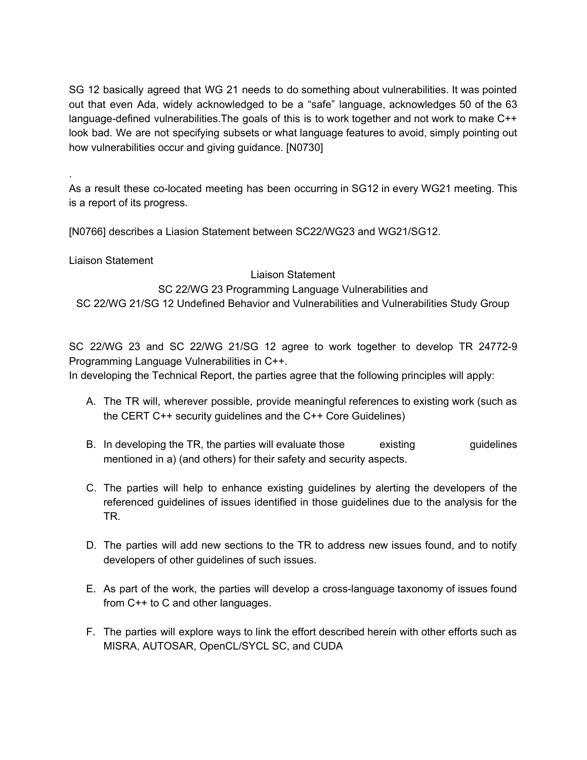SG 12 basically agreed that WG 21 needs to do something about vulnerabilities. It was pointed out that even Ada, widely acknowledged to be a "safe" language, acknowledges 50 of the 63 language-defined vulnerabilities.The goals of this is to work together and not work to make C++ look bad. We are not specifying subsets or what language features to avoid, simply pointing out how vulnerabilities occur and giving guidance. [N0730]

As a result these co-located meeting has been occurring in SG12 in every WG21 meeting. This is a report of its progress.

[N0766] describes a Liasion Statement between SC22/WG23 and WG21/SG12.

Liaison Statement

.

#### Liaison Statement

SC 22/WG 23 Programming Language Vulnerabilities and SC 22/WG 21/SG 12 Undefined Behavior and Vulnerabilities and Vulnerabilities Study Group

SC 22/WG 23 and SC 22/WG 21/SG 12 agree to work together to develop TR 24772-9 Programming Language Vulnerabilities in C++.

In developing the Technical Report, the parties agree that the following principles will apply:

- A. The TR will, wherever possible, provide meaningful references to existing work (such as the CERT C++ security guidelines and the C++ Core Guidelines)
- B. In developing the TR, the parties will evaluate those existing example guidelines mentioned in a) (and others) for their safety and security aspects.
- C. The parties will help to enhance existing guidelines by alerting the developers of the referenced guidelines of issues identified in those guidelines due to the analysis for the TR.
- D. The parties will add new sections to the TR to address new issues found, and to notify developers of other guidelines of such issues.
- E. As part of the work, the parties will develop a cross-language taxonomy of issues found from C++ to C and other languages.
- F. The parties will explore ways to link the effort described herein with other efforts such as MISRA, AUTOSAR, OpenCL/SYCL SC, and CUDA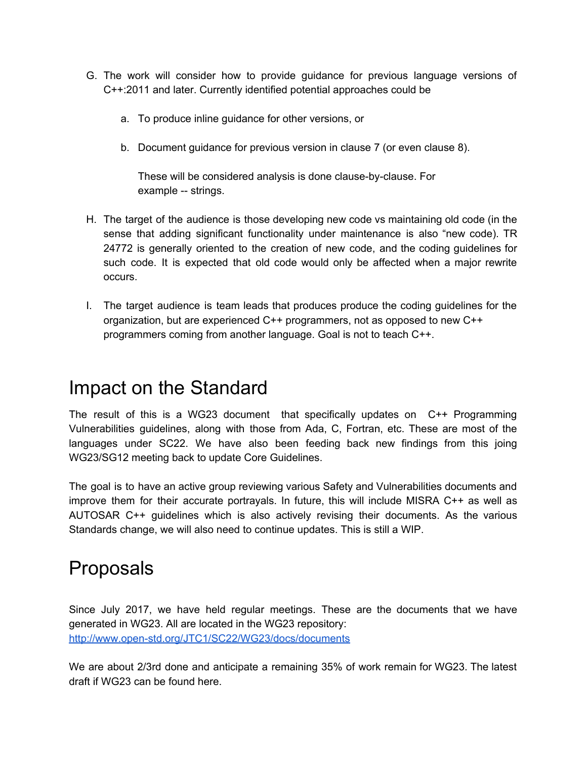- G. The work will consider how to provide guidance for previous language versions of C++:2011 and later. Currently identified potential approaches could be
	- a. To produce inline guidance for other versions, or
	- b. Document guidance for previous version in clause 7 (or even clause 8).

These will be considered analysis is done clause-by-clause. For example -- strings.

- H. The target of the audience is those developing new code vs maintaining old code (in the sense that adding significant functionality under maintenance is also "new code). TR 24772 is generally oriented to the creation of new code, and the coding guidelines for such code. It is expected that old code would only be affected when a major rewrite occurs.
- I. The target audience is team leads that produces produce the coding guidelines for the organization, but are experienced C++ programmers, not as opposed to new C++ programmers coming from another language. Goal is not to teach C++.

### Impact on the Standard

The result of this is a WG23 document that specifically updates on C++ Programming Vulnerabilities guidelines, along with those from Ada, C, Fortran, etc. These are most of the languages under SC22. We have also been feeding back new findings from this joing WG23/SG12 meeting back to update Core Guidelines.

The goal is to have an active group reviewing various Safety and Vulnerabilities documents and improve them for their accurate portrayals. In future, this will include MISRA C++ as well as AUTOSAR C++ guidelines which is also actively revising their documents. As the various Standards change, we will also need to continue updates. This is still a WIP.

### Proposals

Since July 2017, we have held regular meetings. These are the documents that we have generated in WG23. All are located in the WG23 repository: <http://www.open-std.org/JTC1/SC22/WG23/docs/documents>

We are about 2/3rd done and anticipate a remaining 35% of work remain for WG23. The latest draft if WG23 can be found here.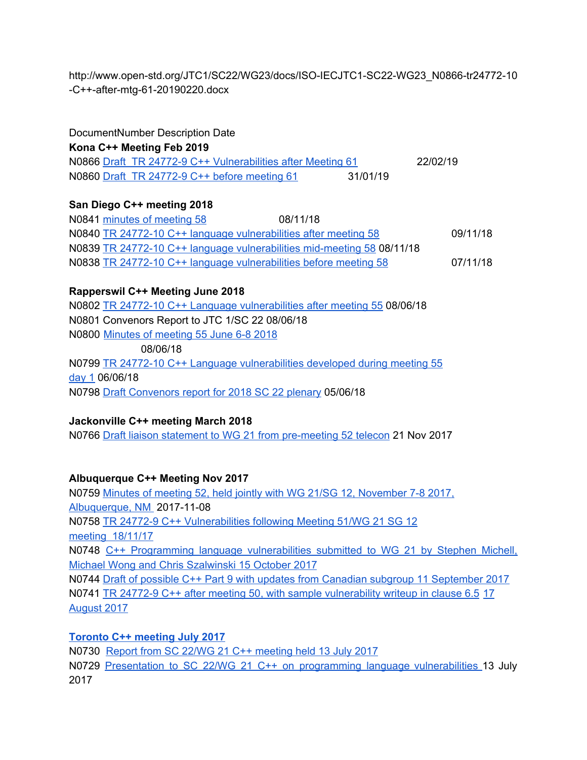http://www.open-std.org/JTC1/SC22/WG23/docs/ISO-IECJTC1-SC22-WG23\_N0866-tr24772-10 -C++-after-mtg-61-20190220.docx

| DocumentNumber Description Date                             |          |          |
|-------------------------------------------------------------|----------|----------|
| Kona C++ Meeting Feb 2019                                   |          |          |
| N0866 Draft TR 24772-9 C++ Vulnerabilities after Meeting 61 |          | 22/02/19 |
| N0860 Draft TR 24772-9 C++ before meeting 61                | 31/01/19 |          |

#### **San Diego C++ meeting 2018**

N0841 minutes of [meeting](http://www.open-std.org/JTC1/SC22/WG23/docs/ISO-IECJTC1-SC22-WG23_N0841-minutes-mtg-58-20181108-09.html) 58 08/11/18 N0840 TR 24772-10 C++ language [vulnerabilities](http://www.open-std.org/JTC1/SC22/WG23/docs/ISO-IECJTC1-SC22-WG23_N0840-tr24772-10-C++-after-mtg-58-20181109.docx) after meeting 58 09/11/18 N0839 TR 24772-10 C++ language [vulnerabilities](http://www.open-std.org/JTC1/SC22/WG23/docs/ISO-IECJTC1-SC22-WG23_N0839-tr24772-10-C++-during-mtg-58-20181108.docx) mid-meeting 58 08/11/18 N0838 TR 24772-10 C++ language [vulnerabilities](http://www.open-std.org/JTC1/SC22/WG23/docs/ISO-IECJTC1-SC22-WG23_N0838-tr24772-10-C++-before-mtg-58-20181108.docx) before meeting 58 07/11/18

#### **Rapperswil C++ Meeting June 2018**

N0802 TR 24772-10 C++ Language [vulnerabilities](http://www.open-std.org/JTC1/SC22/WG23/docs/ISO-IECJTC1-SC22-WG23_N0801-tr24772-10-C++-after-mtg-55-20180608.zip) after meeting 55 08/06/18 N0801 Convenors Report to JTC 1/SC 22 08/06/18 N0800 Minutes of [meeting](http://www.open-std.org/JTC1/SC22/WG23/docs/ISO-IECJTC1-SC22-WG23_N0800-minutes-mtg-55-20180606-08.html) 55 June 6-8 2018 08/06/18 N0799 TR 24772-10 C++ Language [vulnerabilities](http://www.open-std.org/JTC1/SC22/WG23/docs/ISO-IECJTC1-SC22-WG23_N0799-tr24772-10-C++-after-mtg-55-day-1-20180606.zip) developed during meeting 55 [day](http://www.open-std.org/JTC1/SC22/WG23/docs/ISO-IECJTC1-SC22-WG23_N0799-tr24772-10-C++-after-mtg-55-day-1-20180606.zip) 1 06/06/18 N0798 Draft [Convenors](http://www.open-std.org/JTC1/SC22/WG23/docs/ISO-IECJTC1-SC22-WG23_N0798-convenors-report-20180606.pdf) report for 2018 SC 22 plenary 05/06/18

#### **Jackonville C++ meeting March 2018**

N0766 Draft liaison statement to WG 21 from [pre-meeting](http://www.open-std.org/JTC1/SC22/WG23/docs/ISO-IECJTC1-SC22-WG23_N0766-possible-liaison-statement-WG23-WG21-SG12.zip) 52 telecon 21 Nov 2017

#### **Albuquerque C++ Meeting Nov 2017**

N0759 Minutes of meeting 52, held jointly with WG 21/SG 12, [November](http://www.open-std.org/JTC1/SC22/WG23/docs/ISO-IECJTC1-SC22-WG23_N0759-minutes-mtg-51-20171107-08.html) 7-8 2017, [Albuquerque,](http://www.open-std.org/JTC1/SC22/WG23/docs/ISO-IECJTC1-SC22-WG23_N0759-minutes-mtg-51-20171107-08.html) NM 2017-11-08 N0758 TR 24772-9 C++ [Vulnerabilities](http://www.open-std.org/JTC1/SC22/WG23/docs/ISO-IECJTC1-SC22-WG23_N0758-tr24772-9-C++-after-mtg-21-20171108.docx) following Meeting 51/WG 21 SG 12 [meeting](http://www.open-std.org/JTC1/SC22/WG23/docs/ISO-IECJTC1-SC22-WG23_N0758-tr24772-9-C++-after-mtg-21-20171108.docx) 18/11/17 N0748 C++ Programming language [vulnerabilities](http://www.open-std.org/JTC1/SC22/WG23/docs/ISO-IECJTC1-SC22-WG23_N0748-Programming-vulerabilities-for-C++-(part-of-WG23-N0746)-20171015.pdf) submitted to WG 21 by Stephen Michell, Michael Wong and Chris [Szalwinski](http://www.open-std.org/JTC1/SC22/WG23/docs/ISO-IECJTC1-SC22-WG23_N0748-Programming-vulerabilities-for-C++-(part-of-WG23-N0746)-20171015.pdf) 15 October 2017 N0744 Draft of possible C++ Part 9 with updates from [Canadian](http://www.open-std.org/JTC1/SC22/WG23/docs/ISO-IECJTC1-SC22-WG23_N0744-tr24772-9-C++-draft-updated-by-cdn-subgroup-20170905.docx) subgroup 11 September 2017 N0741 TR 24772-9 C++ after meeting 50, with sample [vulnerability](http://www.open-std.org/JTC1/SC22/WG23/docs/ISO-IECJTC1-SC22-WG23_N0741-tr24772-9-C++-draft-after-mtg-49-20170817.docx) writeup in clause 6.5 17 August 2017

#### **Toronto C++ meeting July 2017**

N0730 Report from SC 22/WG 21 C++ [meeting](http://www.open-std.org/JTC1/SC22/WG23/docs/ISO-IECJTC1-SC22-WG23_N0730-report-from-SC22-WG21-SG12-meeting-20170713.docx) held 13 July 2017 N0729 Presentation to SC 22/WG 21 C++ on programming language [vulnerabilities](http://www.open-std.org/JTC1/SC22/WG23/docs/ISO-IECJTC1-SC22-WG23_N0729-presentation-WG21-programming-language-vulnerabilities-20170713.pptx) 13 July 2017